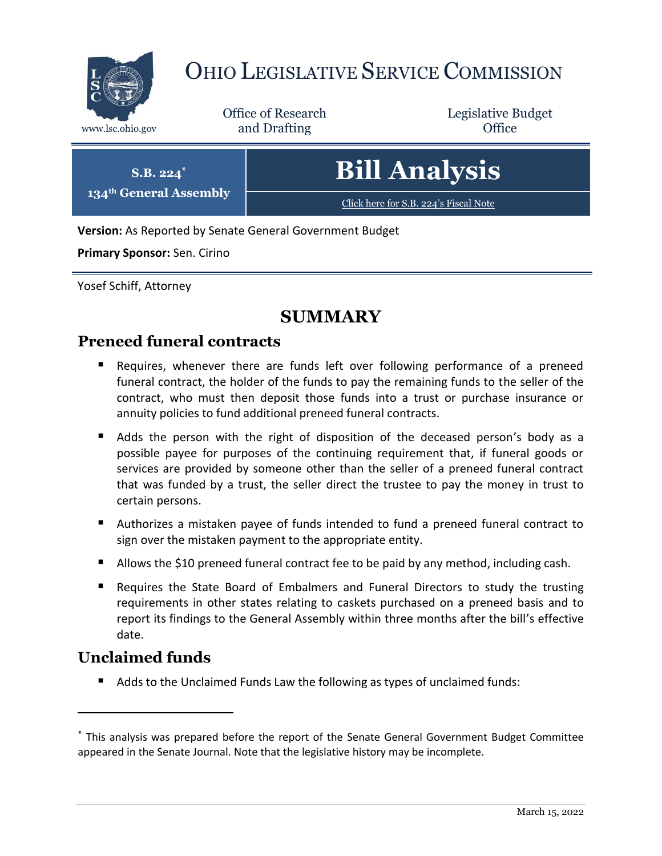

# OHIO LEGISLATIVE SERVICE COMMISSION

Office of Research www.lsc.ohio.gov **and Drafting Office** 

Legislative Budget

| $S.B. 224^*$                       | <b>Bill Analysis</b>                  |
|------------------------------------|---------------------------------------|
| 134 <sup>th</sup> General Assembly | Click here for S.B. 224's Fiscal Note |

**Version:** As Reported by Senate General Government Budget

**Primary Sponsor:** Sen. Cirino

Yosef Schiff, Attorney

### **SUMMARY**

### **Preneed funeral contracts**

- Requires, whenever there are funds left over following performance of a preneed funeral contract, the holder of the funds to pay the remaining funds to the seller of the contract, who must then deposit those funds into a trust or purchase insurance or annuity policies to fund additional preneed funeral contracts.
- Adds the person with the right of disposition of the deceased person's body as a possible payee for purposes of the continuing requirement that, if funeral goods or services are provided by someone other than the seller of a preneed funeral contract that was funded by a trust, the seller direct the trustee to pay the money in trust to certain persons.
- Authorizes a mistaken payee of funds intended to fund a preneed funeral contract to sign over the mistaken payment to the appropriate entity.
- Allows the \$10 preneed funeral contract fee to be paid by any method, including cash.
- Requires the State Board of Embalmers and Funeral Directors to study the trusting requirements in other states relating to caskets purchased on a preneed basis and to report its findings to the General Assembly within three months after the bill's effective date.

### **Unclaimed funds**

 $\overline{a}$ 

■ Adds to the Unclaimed Funds Law the following as types of unclaimed funds:

<sup>\*</sup> This analysis was prepared before the report of the Senate General Government Budget Committee appeared in the Senate Journal. Note that the legislative history may be incomplete.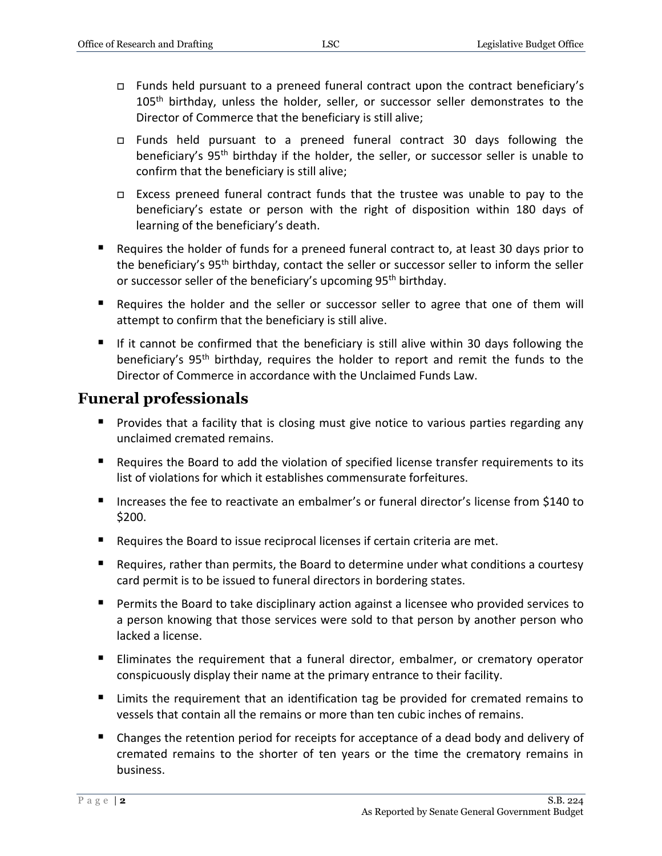- Funds held pursuant to a preneed funeral contract upon the contract beneficiary's 105<sup>th</sup> birthday, unless the holder, seller, or successor seller demonstrates to the Director of Commerce that the beneficiary is still alive;
- Funds held pursuant to a preneed funeral contract 30 days following the beneficiary's 95<sup>th</sup> birthday if the holder, the seller, or successor seller is unable to confirm that the beneficiary is still alive;
- Excess preneed funeral contract funds that the trustee was unable to pay to the beneficiary's estate or person with the right of disposition within 180 days of learning of the beneficiary's death.
- Requires the holder of funds for a preneed funeral contract to, at least 30 days prior to the beneficiary's 95<sup>th</sup> birthday, contact the seller or successor seller to inform the seller or successor seller of the beneficiary's upcoming 95<sup>th</sup> birthday.
- Requires the holder and the seller or successor seller to agree that one of them will attempt to confirm that the beneficiary is still alive.
- If it cannot be confirmed that the beneficiary is still alive within 30 days following the beneficiary's 95<sup>th</sup> birthday, requires the holder to report and remit the funds to the Director of Commerce in accordance with the Unclaimed Funds Law.

### **Funeral professionals**

- **Provides that a facility that is closing must give notice to various parties regarding any** unclaimed cremated remains.
- Requires the Board to add the violation of specified license transfer requirements to its list of violations for which it establishes commensurate forfeitures.
- Increases the fee to reactivate an embalmer's or funeral director's license from \$140 to \$200.
- Requires the Board to issue reciprocal licenses if certain criteria are met.
- Requires, rather than permits, the Board to determine under what conditions a courtesy card permit is to be issued to funeral directors in bordering states.
- Permits the Board to take disciplinary action against a licensee who provided services to a person knowing that those services were sold to that person by another person who lacked a license.
- **Eliminates the requirement that a funeral director, embalmer, or crematory operator** conspicuously display their name at the primary entrance to their facility.
- **E** Limits the requirement that an identification tag be provided for cremated remains to vessels that contain all the remains or more than ten cubic inches of remains.
- **E** Changes the retention period for receipts for acceptance of a dead body and delivery of cremated remains to the shorter of ten years or the time the crematory remains in business.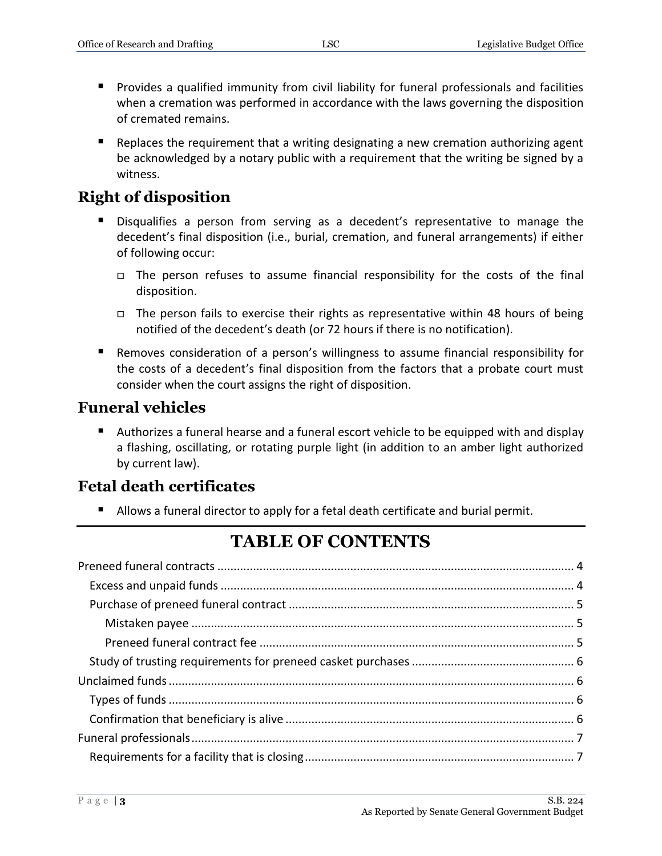- Provides a qualified immunity from civil liability for funeral professionals and facilities when a cremation was performed in accordance with the laws governing the disposition of cremated remains.
- **E** Replaces the requirement that a writing designating a new cremation authorizing agent be acknowledged by a notary public with a requirement that the writing be signed by a witness.

### **Right of disposition**

- Disqualifies a person from serving as a decedent's representative to manage the decedent's final disposition (i.e., burial, cremation, and funeral arrangements) if either of following occur:
	- $\Box$  The person refuses to assume financial responsibility for the costs of the final disposition.
	- $\Box$  The person fails to exercise their rights as representative within 48 hours of being notified of the decedent's death (or 72 hours if there is no notification).
- Removes consideration of a person's willingness to assume financial responsibility for the costs of a decedent's final disposition from the factors that a probate court must consider when the court assigns the right of disposition.

### **Funeral vehicles**

 Authorizes a funeral hearse and a funeral escort vehicle to be equipped with and display a flashing, oscillating, or rotating purple light (in addition to an amber light authorized by current law).

### **Fetal death certificates**

Allows a funeral director to apply for a fetal death certificate and burial permit.

# **TABLE OF CONTENTS**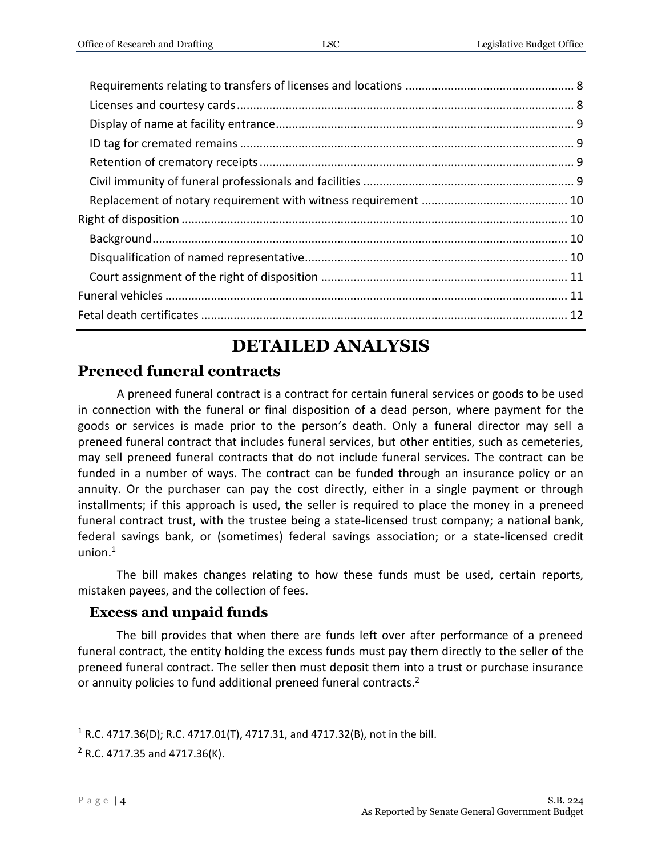# **DETAILED ANALYSIS**

### <span id="page-3-0"></span>**Preneed funeral contracts**

A preneed funeral contract is a contract for certain funeral services or goods to be used in connection with the funeral or final disposition of a dead person, where payment for the goods or services is made prior to the person's death. Only a funeral director may sell a preneed funeral contract that includes funeral services, but other entities, such as cemeteries, may sell preneed funeral contracts that do not include funeral services. The contract can be funded in a number of ways. The contract can be funded through an insurance policy or an annuity. Or the purchaser can pay the cost directly, either in a single payment or through installments; if this approach is used, the seller is required to place the money in a preneed funeral contract trust, with the trustee being a state-licensed trust company; a national bank, federal savings bank, or (sometimes) federal savings association; or a state-licensed credit union. $1$ 

The bill makes changes relating to how these funds must be used, certain reports, mistaken payees, and the collection of fees.

### <span id="page-3-1"></span>**Excess and unpaid funds**

The bill provides that when there are funds left over after performance of a preneed funeral contract, the entity holding the excess funds must pay them directly to the seller of the preneed funeral contract. The seller then must deposit them into a trust or purchase insurance or annuity policies to fund additional preneed funeral contracts.<sup>2</sup>

<sup>1</sup> R.C. 4717.36(D); R.C. 4717.01(T), 4717.31, and 4717.32(B), not in the bill.

 $2$  R.C. 4717.35 and 4717.36(K).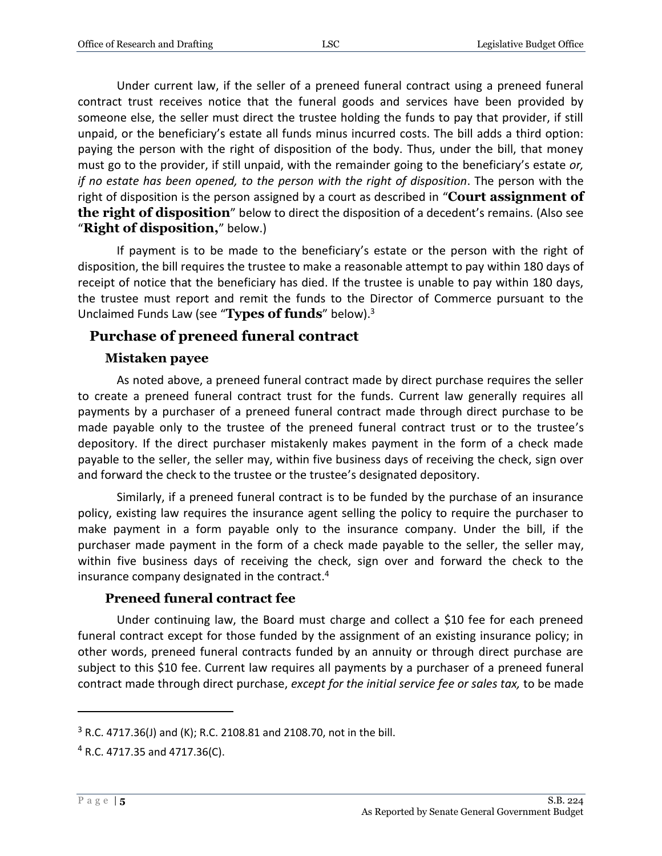Under current law, if the seller of a preneed funeral contract using a preneed funeral contract trust receives notice that the funeral goods and services have been provided by someone else, the seller must direct the trustee holding the funds to pay that provider, if still unpaid, or the beneficiary's estate all funds minus incurred costs. The bill adds a third option: paying the person with the right of disposition of the body. Thus, under the bill, that money must go to the provider, if still unpaid, with the remainder going to the beneficiary's estate *or, if no estate has been opened, to the person with the right of disposition*. The person with the right of disposition is the person assigned by a court as described in "**Court assignment of the right of disposition**" below to direct the disposition of a decedent's remains. (Also see "**Right of disposition,**" below.)

If payment is to be made to the beneficiary's estate or the person with the right of disposition, the bill requires the trustee to make a reasonable attempt to pay within 180 days of receipt of notice that the beneficiary has died. If the trustee is unable to pay within 180 days, the trustee must report and remit the funds to the Director of Commerce pursuant to the Unclaimed Funds Law (see "**Types of funds**" below).<sup>3</sup>

#### <span id="page-4-0"></span>**Purchase of preneed funeral contract**

#### **Mistaken payee**

<span id="page-4-1"></span>As noted above, a preneed funeral contract made by direct purchase requires the seller to create a preneed funeral contract trust for the funds. Current law generally requires all payments by a purchaser of a preneed funeral contract made through direct purchase to be made payable only to the trustee of the preneed funeral contract trust or to the trustee's depository. If the direct purchaser mistakenly makes payment in the form of a check made payable to the seller, the seller may, within five business days of receiving the check, sign over and forward the check to the trustee or the trustee's designated depository.

Similarly, if a preneed funeral contract is to be funded by the purchase of an insurance policy, existing law requires the insurance agent selling the policy to require the purchaser to make payment in a form payable only to the insurance company. Under the bill, if the purchaser made payment in the form of a check made payable to the seller, the seller may, within five business days of receiving the check, sign over and forward the check to the insurance company designated in the contract.<sup>4</sup>

#### **Preneed funeral contract fee**

<span id="page-4-2"></span>Under continuing law, the Board must charge and collect a \$10 fee for each preneed funeral contract except for those funded by the assignment of an existing insurance policy; in other words, preneed funeral contracts funded by an annuity or through direct purchase are subject to this \$10 fee. Current law requires all payments by a purchaser of a preneed funeral contract made through direct purchase, *except for the initial service fee or sales tax,* to be made

 $3$  R.C. 4717.36(J) and (K); R.C. 2108.81 and 2108.70, not in the bill.

<sup>4</sup> R.C. 4717.35 and 4717.36(C).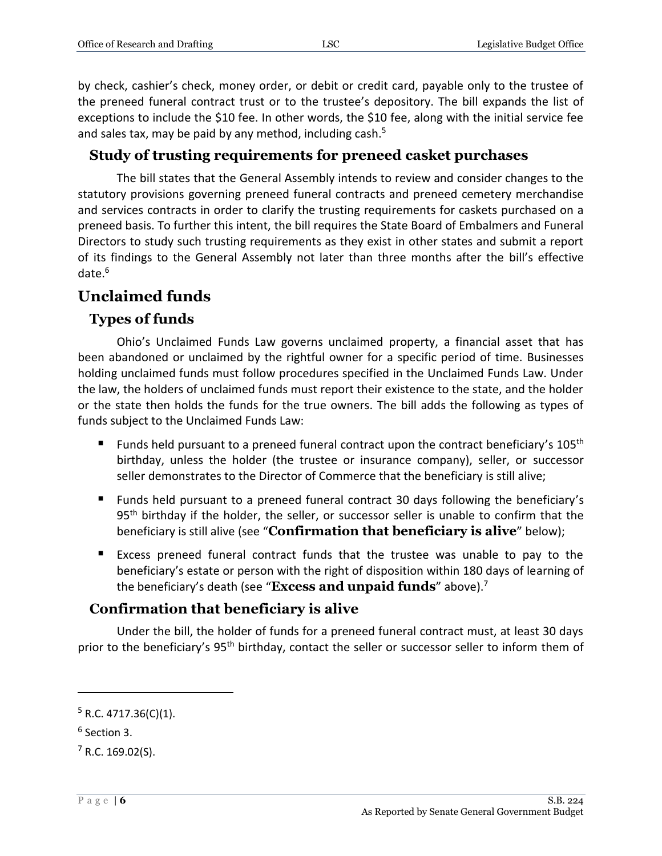by check, cashier's check, money order, or debit or credit card, payable only to the trustee of the preneed funeral contract trust or to the trustee's depository. The bill expands the list of exceptions to include the \$10 fee. In other words, the \$10 fee, along with the initial service fee and sales tax, may be paid by any method, including cash. $5$ 

### <span id="page-5-0"></span>**Study of trusting requirements for preneed casket purchases**

The bill states that the General Assembly intends to review and consider changes to the statutory provisions governing preneed funeral contracts and preneed cemetery merchandise and services contracts in order to clarify the trusting requirements for caskets purchased on a preneed basis. To further this intent, the bill requires the State Board of Embalmers and Funeral Directors to study such trusting requirements as they exist in other states and submit a report of its findings to the General Assembly not later than three months after the bill's effective date.<sup>6</sup>

### <span id="page-5-1"></span>**Unclaimed funds**

### <span id="page-5-2"></span>**Types of funds**

Ohio's Unclaimed Funds Law governs unclaimed property, a financial asset that has been abandoned or unclaimed by the rightful owner for a specific period of time. Businesses holding unclaimed funds must follow procedures specified in the Unclaimed Funds Law. Under the law, the holders of unclaimed funds must report their existence to the state, and the holder or the state then holds the funds for the true owners. The bill adds the following as types of funds subject to the Unclaimed Funds Law:

- Funds held pursuant to a preneed funeral contract upon the contract beneficiary's  $105<sup>th</sup>$ birthday, unless the holder (the trustee or insurance company), seller, or successor seller demonstrates to the Director of Commerce that the beneficiary is still alive;
- Funds held pursuant to a preneed funeral contract 30 days following the beneficiary's 95<sup>th</sup> birthday if the holder, the seller, or successor seller is unable to confirm that the beneficiary is still alive (see "**Confirmation that beneficiary is alive**" below);
- Excess preneed funeral contract funds that the trustee was unable to pay to the beneficiary's estate or person with the right of disposition within 180 days of learning of the beneficiary's death (see "**Excess and unpaid funds**" above).<sup>7</sup>

### <span id="page-5-3"></span>**Confirmation that beneficiary is alive**

Under the bill, the holder of funds for a preneed funeral contract must, at least 30 days prior to the beneficiary's 95<sup>th</sup> birthday, contact the seller or successor seller to inform them of

 $5$  R.C. 4717.36(C)(1).

<sup>6</sup> Section 3.

 $<sup>7</sup>$  R.C. 169.02(S).</sup>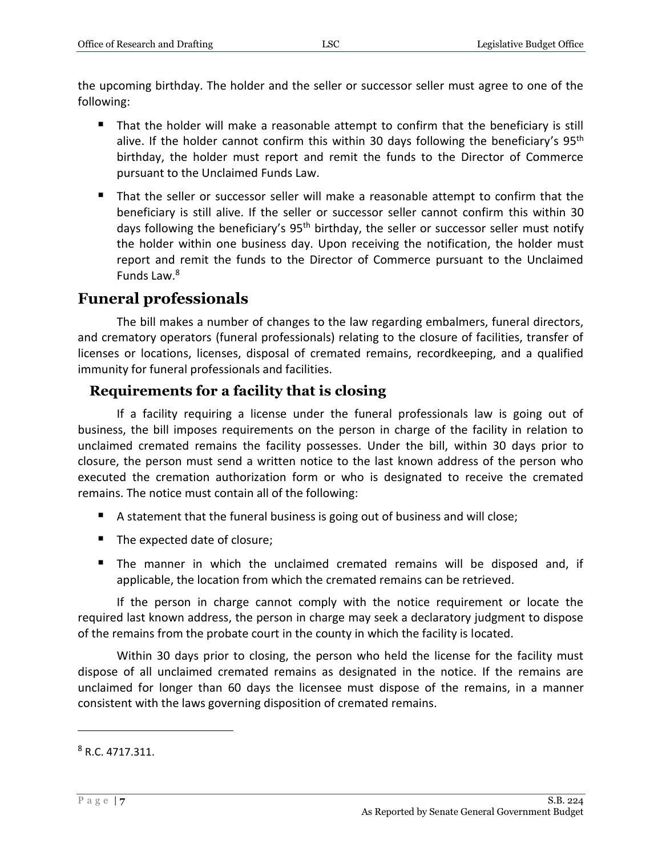the upcoming birthday. The holder and the seller or successor seller must agree to one of the following:

- That the holder will make a reasonable attempt to confirm that the beneficiary is still alive. If the holder cannot confirm this within 30 days following the beneficiary's  $95<sup>th</sup>$ birthday, the holder must report and remit the funds to the Director of Commerce pursuant to the Unclaimed Funds Law.
- That the seller or successor seller will make a reasonable attempt to confirm that the beneficiary is still alive. If the seller or successor seller cannot confirm this within 30 days following the beneficiary's 95<sup>th</sup> birthday, the seller or successor seller must notify the holder within one business day. Upon receiving the notification, the holder must report and remit the funds to the Director of Commerce pursuant to the Unclaimed Funds Law. 8

### <span id="page-6-0"></span>**Funeral professionals**

The bill makes a number of changes to the law regarding embalmers, funeral directors, and crematory operators (funeral professionals) relating to the closure of facilities, transfer of licenses or locations, licenses, disposal of cremated remains, recordkeeping, and a qualified immunity for funeral professionals and facilities.

### <span id="page-6-1"></span>**Requirements for a facility that is closing**

If a facility requiring a license under the funeral professionals law is going out of business, the bill imposes requirements on the person in charge of the facility in relation to unclaimed cremated remains the facility possesses. Under the bill, within 30 days prior to closure, the person must send a written notice to the last known address of the person who executed the cremation authorization form or who is designated to receive the cremated remains. The notice must contain all of the following:

- A statement that the funeral business is going out of business and will close;
- The expected date of closure;
- The manner in which the unclaimed cremated remains will be disposed and, if applicable, the location from which the cremated remains can be retrieved.

If the person in charge cannot comply with the notice requirement or locate the required last known address, the person in charge may seek a declaratory judgment to dispose of the remains from the probate court in the county in which the facility is located.

Within 30 days prior to closing, the person who held the license for the facility must dispose of all unclaimed cremated remains as designated in the notice. If the remains are unclaimed for longer than 60 days the licensee must dispose of the remains, in a manner consistent with the laws governing disposition of cremated remains.

 $8 R.C. 4717.311.$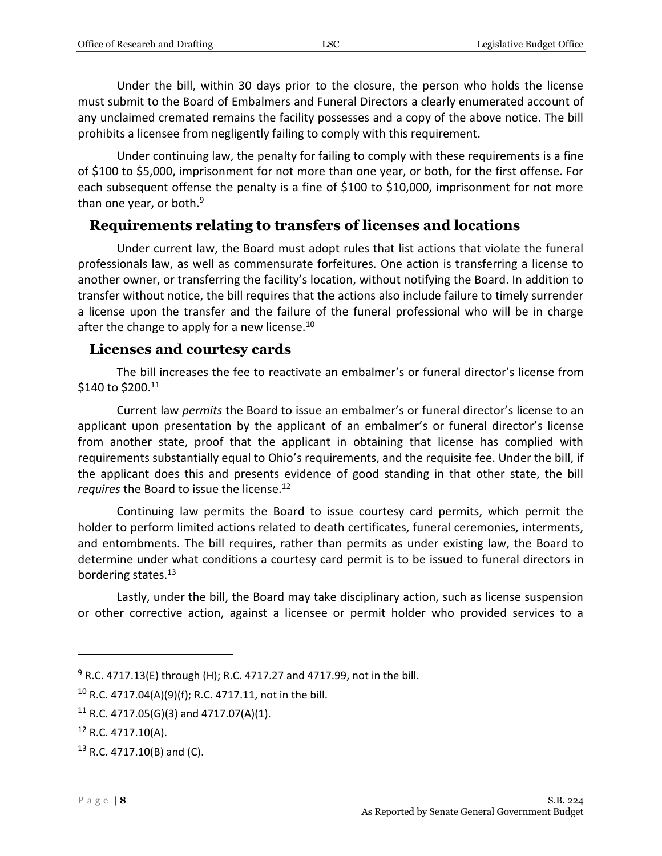Under the bill, within 30 days prior to the closure, the person who holds the license must submit to the Board of Embalmers and Funeral Directors a clearly enumerated account of any unclaimed cremated remains the facility possesses and a copy of the above notice. The bill prohibits a licensee from negligently failing to comply with this requirement.

Under continuing law, the penalty for failing to comply with these requirements is a fine of \$100 to \$5,000, imprisonment for not more than one year, or both, for the first offense. For each subsequent offense the penalty is a fine of \$100 to \$10,000, imprisonment for not more than one year, or both. $9$ 

### <span id="page-7-0"></span>**Requirements relating to transfers of licenses and locations**

Under current law, the Board must adopt rules that list actions that violate the funeral professionals law, as well as commensurate forfeitures. One action is transferring a license to another owner, or transferring the facility's location, without notifying the Board. In addition to transfer without notice, the bill requires that the actions also include failure to timely surrender a license upon the transfer and the failure of the funeral professional who will be in charge after the change to apply for a new license. $^{10}$ 

#### <span id="page-7-1"></span>**Licenses and courtesy cards**

The bill increases the fee to reactivate an embalmer's or funeral director's license from \$140 to \$200.11

Current law *permits* the Board to issue an embalmer's or funeral director's license to an applicant upon presentation by the applicant of an embalmer's or funeral director's license from another state, proof that the applicant in obtaining that license has complied with requirements substantially equal to Ohio's requirements, and the requisite fee. Under the bill, if the applicant does this and presents evidence of good standing in that other state, the bill *requires* the Board to issue the license.<sup>12</sup>

Continuing law permits the Board to issue courtesy card permits, which permit the holder to perform limited actions related to death certificates, funeral ceremonies, interments, and entombments. The bill requires, rather than permits as under existing law, the Board to determine under what conditions a courtesy card permit is to be issued to funeral directors in bordering states.<sup>13</sup>

Lastly, under the bill, the Board may take disciplinary action, such as license suspension or other corrective action, against a licensee or permit holder who provided services to a

 $9$  R.C. 4717.13(E) through (H); R.C. 4717.27 and 4717.99, not in the bill.

<sup>&</sup>lt;sup>10</sup> R.C. 4717.04(A)(9)(f); R.C. 4717.11, not in the bill.

<sup>&</sup>lt;sup>11</sup> R.C. 4717.05(G)(3) and 4717.07(A)(1).

 $12$  R.C. 4717.10(A).

<sup>13</sup> R.C. 4717.10(B) and (C).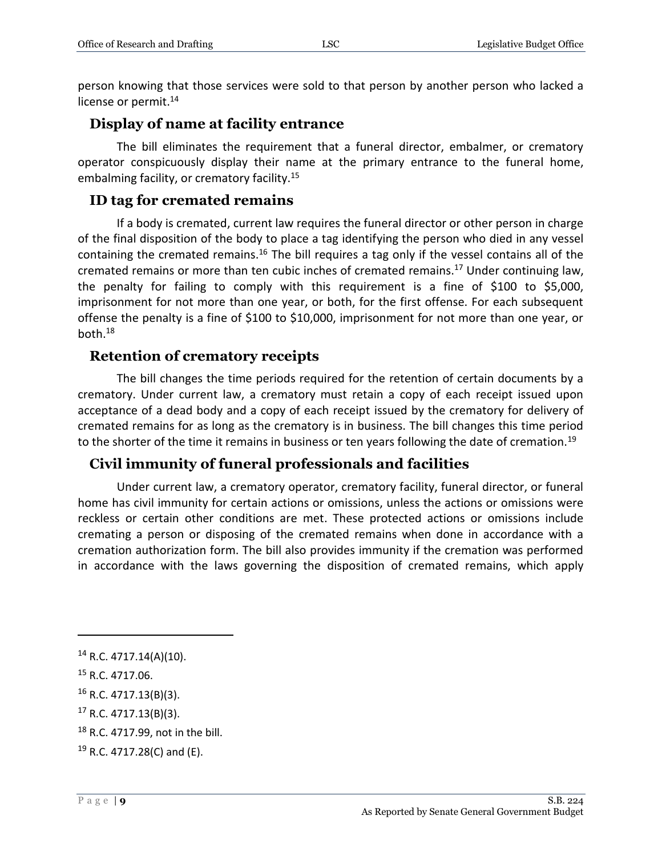person knowing that those services were sold to that person by another person who lacked a license or permit.<sup>14</sup>

#### <span id="page-8-0"></span>**Display of name at facility entrance**

The bill eliminates the requirement that a funeral director, embalmer, or crematory operator conspicuously display their name at the primary entrance to the funeral home, embalming facility, or crematory facility.<sup>15</sup>

#### <span id="page-8-1"></span>**ID tag for cremated remains**

If a body is cremated, current law requires the funeral director or other person in charge of the final disposition of the body to place a tag identifying the person who died in any vessel containing the cremated remains.<sup>16</sup> The bill requires a tag only if the vessel contains all of the cremated remains or more than ten cubic inches of cremated remains.<sup>17</sup> Under continuing law, the penalty for failing to comply with this requirement is a fine of \$100 to \$5,000, imprisonment for not more than one year, or both, for the first offense. For each subsequent offense the penalty is a fine of \$100 to \$10,000, imprisonment for not more than one year, or both.<sup>18</sup>

### <span id="page-8-2"></span>**Retention of crematory receipts**

The bill changes the time periods required for the retention of certain documents by a crematory. Under current law, a crematory must retain a copy of each receipt issued upon acceptance of a dead body and a copy of each receipt issued by the crematory for delivery of cremated remains for as long as the crematory is in business. The bill changes this time period to the shorter of the time it remains in business or ten years following the date of cremation.<sup>19</sup>

### <span id="page-8-3"></span>**Civil immunity of funeral professionals and facilities**

Under current law, a crematory operator, crematory facility, funeral director, or funeral home has civil immunity for certain actions or omissions, unless the actions or omissions were reckless or certain other conditions are met. These protected actions or omissions include cremating a person or disposing of the cremated remains when done in accordance with a cremation authorization form. The bill also provides immunity if the cremation was performed in accordance with the laws governing the disposition of cremated remains, which apply

<sup>14</sup> R.C. 4717.14(A)(10).

<sup>15</sup> R.C. 4717.06.

<sup>16</sup> R.C. 4717.13(B)(3).

<sup>17</sup> R.C. 4717.13(B)(3).

<sup>18</sup> R.C. 4717.99, not in the bill.

<sup>19</sup> R.C. 4717.28(C) and (E).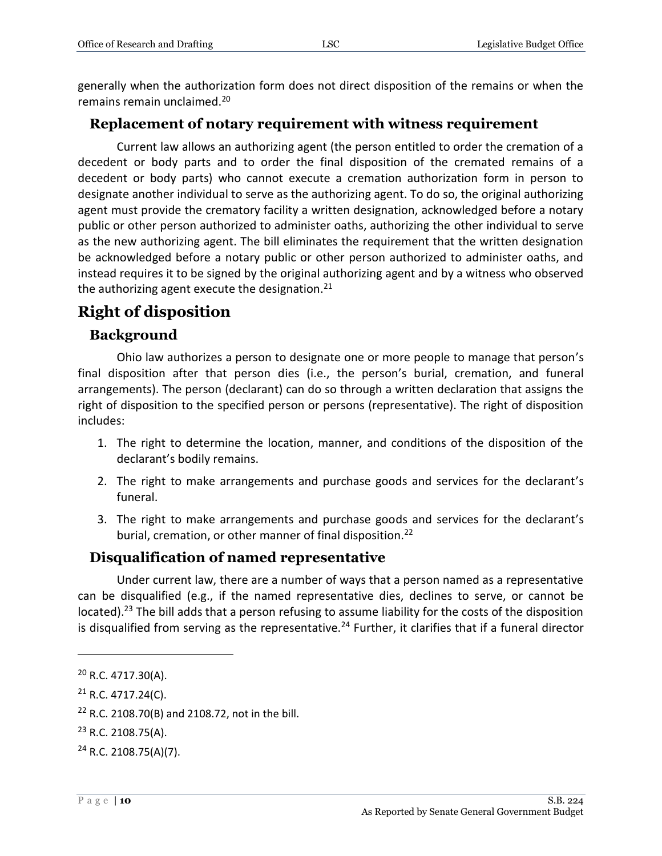generally when the authorization form does not direct disposition of the remains or when the remains remain unclaimed.<sup>20</sup>

### <span id="page-9-0"></span>**Replacement of notary requirement with witness requirement**

Current law allows an authorizing agent (the person entitled to order the cremation of a decedent or body parts and to order the final disposition of the cremated remains of a decedent or body parts) who cannot execute a cremation authorization form in person to designate another individual to serve as the authorizing agent. To do so, the original authorizing agent must provide the crematory facility a written designation, acknowledged before a notary public or other person authorized to administer oaths, authorizing the other individual to serve as the new authorizing agent. The bill eliminates the requirement that the written designation be acknowledged before a notary public or other person authorized to administer oaths, and instead requires it to be signed by the original authorizing agent and by a witness who observed the authorizing agent execute the designation. $^{21}$ 

### <span id="page-9-1"></span>**Right of disposition**

### <span id="page-9-2"></span>**Background**

Ohio law authorizes a person to designate one or more people to manage that person's final disposition after that person dies (i.e., the person's burial, cremation, and funeral arrangements). The person (declarant) can do so through a written declaration that assigns the right of disposition to the specified person or persons (representative). The right of disposition includes:

- 1. The right to determine the location, manner, and conditions of the disposition of the declarant's bodily remains.
- 2. The right to make arrangements and purchase goods and services for the declarant's funeral.
- 3. The right to make arrangements and purchase goods and services for the declarant's burial, cremation, or other manner of final disposition.<sup>22</sup>

### <span id="page-9-3"></span>**Disqualification of named representative**

Under current law, there are a number of ways that a person named as a representative can be disqualified (e.g., if the named representative dies, declines to serve, or cannot be located).<sup>23</sup> The bill adds that a person refusing to assume liability for the costs of the disposition is disqualified from serving as the representative.<sup>24</sup> Further, it clarifies that if a funeral director

<sup>20</sup> R.C. 4717.30(A).

 $21$  R.C. 4717.24(C).

 $22$  R.C. 2108.70(B) and 2108.72, not in the bill.

 $23$  R.C. 2108.75(A).

 $24$  R.C. 2108.75(A)(7).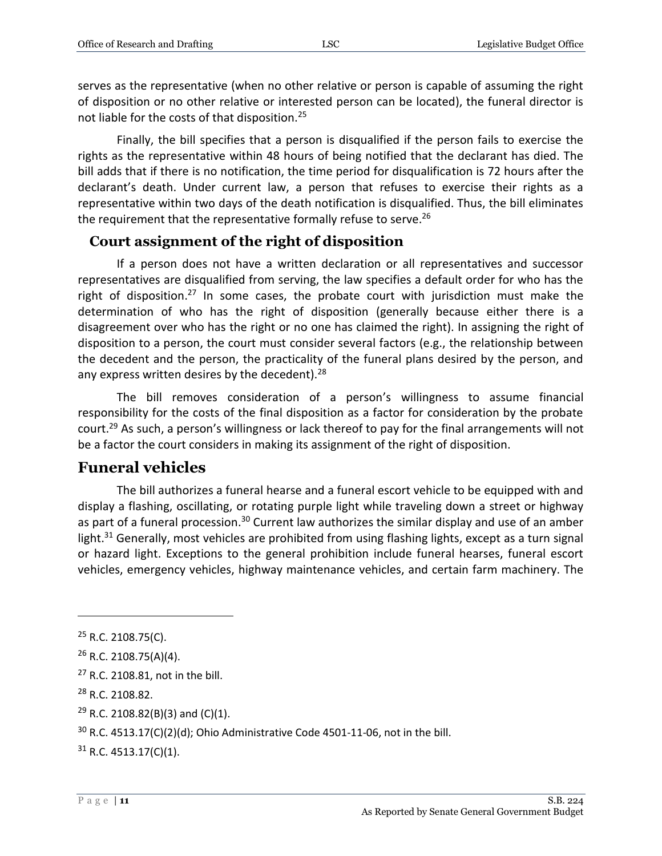serves as the representative (when no other relative or person is capable of assuming the right of disposition or no other relative or interested person can be located), the funeral director is not liable for the costs of that disposition.<sup>25</sup>

Finally, the bill specifies that a person is disqualified if the person fails to exercise the rights as the representative within 48 hours of being notified that the declarant has died. The bill adds that if there is no notification, the time period for disqualification is 72 hours after the declarant's death. Under current law, a person that refuses to exercise their rights as a representative within two days of the death notification is disqualified. Thus, the bill eliminates the requirement that the representative formally refuse to serve.<sup>26</sup>

#### <span id="page-10-0"></span>**Court assignment of the right of disposition**

If a person does not have a written declaration or all representatives and successor representatives are disqualified from serving, the law specifies a default order for who has the right of disposition.<sup>27</sup> In some cases, the probate court with jurisdiction must make the determination of who has the right of disposition (generally because either there is a disagreement over who has the right or no one has claimed the right). In assigning the right of disposition to a person, the court must consider several factors (e.g., the relationship between the decedent and the person, the practicality of the funeral plans desired by the person, and any express written desires by the decedent). $28$ 

The bill removes consideration of a person's willingness to assume financial responsibility for the costs of the final disposition as a factor for consideration by the probate court.<sup>29</sup> As such, a person's willingness or lack thereof to pay for the final arrangements will not be a factor the court considers in making its assignment of the right of disposition.

### <span id="page-10-1"></span>**Funeral vehicles**

The bill authorizes a funeral hearse and a funeral escort vehicle to be equipped with and display a flashing, oscillating, or rotating purple light while traveling down a street or highway as part of a funeral procession.<sup>30</sup> Current law authorizes the similar display and use of an amber light.<sup>31</sup> Generally, most vehicles are prohibited from using flashing lights, except as a turn signal or hazard light. Exceptions to the general prohibition include funeral hearses, funeral escort vehicles, emergency vehicles, highway maintenance vehicles, and certain farm machinery. The

- <sup>28</sup> R.C. 2108.82.
- $29$  R.C. 2108.82(B)(3) and (C)(1).

 $25$  R.C. 2108.75(C).

 $26$  R.C. 2108.75(A)(4).

<sup>&</sup>lt;sup>27</sup> R.C. 2108.81, not in the bill.

 $30$  R.C. 4513.17(C)(2)(d); Ohio Administrative Code 4501-11-06, not in the bill.

 $31$  R.C. 4513.17(C)(1).